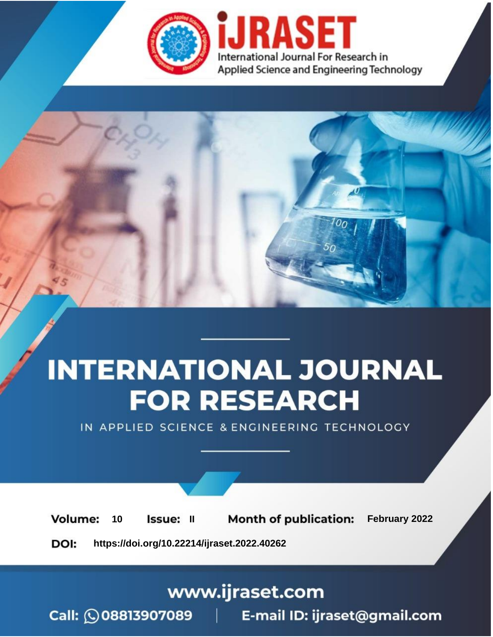

# **INTERNATIONAL JOURNAL FOR RESEARCH**

IN APPLIED SCIENCE & ENGINEERING TECHNOLOGY

**Month of publication:** February 2022 **Volume:** 10 **Issue: II** DOI: https://doi.org/10.22214/ijraset.2022.40262

www.ijraset.com

 $Call: \bigcirc$ 08813907089 E-mail ID: ijraset@gmail.com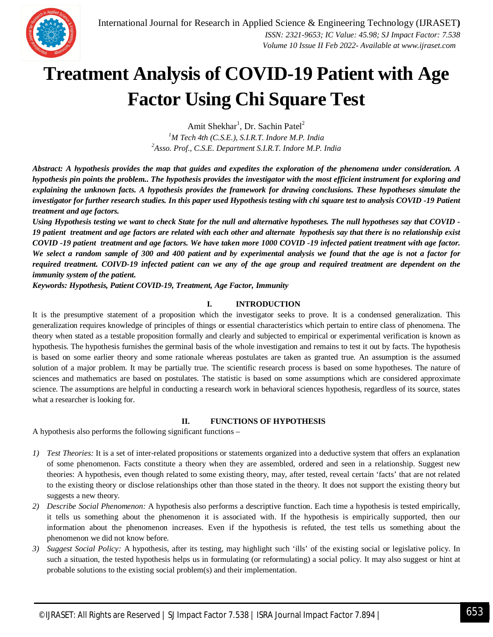

### **Treatment Analysis of COVID-19 Patient with Age Factor Using Chi Square Test**

Amit Shekhar<sup>1</sup>, Dr. Sachin Patel<sup>2</sup>

*<sup>1</sup>M Tech 4th (C.S.E.), S.I.R.T. Indore M.P. India <sup>2</sup>Asso. Prof., C.S.E. Department S.I.R.T. Indore M.P. India*

*Abstract: A hypothesis provides the map that guides and expedites the exploration of the phenomena under consideration. A hypothesis pin points the problem.. The hypothesis provides the investigator with the most efficient instrument for exploring and explaining the unknown facts. A hypothesis provides the framework for drawing conclusions. These hypotheses simulate the investigator for further research studies. In this paper used Hypothesis testing with chi square test to analysis COVID -19 Patient treatment and age factors.* 

*Using Hypothesis testing we want to check State for the null and alternative hypotheses. The null hypotheses say that COVID - 19 patient treatment and age factors are related with each other and alternate hypothesis say that there is no relationship exist COVID -19 patient treatment and age factors. We have taken more 1000 COVID -19 infected patient treatment with age factor. We select a random sample of 300 and 400 patient and by experimental analysis we found that the age is not a factor for required treatment. COIVD-19 infected patient can we any of the age group and required treatment are dependent on the immunity system of the patient.* 

*Keywords: Hypothesis, Patient COVID-19, Treatment, Age Factor, Immunity*

#### **I. INTRODUCTION**

It is the presumptive statement of a proposition which the investigator seeks to prove. It is a condensed generalization. This generalization requires knowledge of principles of things or essential characteristics which pertain to entire class of phenomena. The theory when stated as a testable proposition formally and clearly and subjected to empirical or experimental verification is known as hypothesis. The hypothesis furnishes the germinal basis of the whole investigation and remains to test it out by facts. The hypothesis is based on some earlier theory and some rationale whereas postulates are taken as granted true. An assumption is the assumed solution of a major problem. It may be partially true. The scientific research process is based on some hypotheses. The nature of sciences and mathematics are based on postulates. The statistic is based on some assumptions which are considered approximate science. The assumptions are helpful in conducting a research work in behavioral sciences hypothesis, regardless of its source, states what a researcher is looking for.

#### **II. FUNCTIONS OF HYPOTHESIS**

A hypothesis also performs the following significant functions –

- *1) Test Theories:* It is a set of inter-related propositions or statements organized into a deductive system that offers an explanation of some phenomenon. Facts constitute a theory when they are assembled, ordered and seen in a relationship. Suggest new theories: A hypothesis, even though related to some existing theory, may, after tested, reveal certain 'facts' that are not related to the existing theory or disclose relationships other than those stated in the theory. It does not support the existing theory but suggests a new theory.
- *2) Describe Social Phenomenon:* A hypothesis also performs a descriptive function. Each time a hypothesis is tested empirically, it tells us something about the phenomenon it is associated with. If the hypothesis is empirically supported, then our information about the phenomenon increases. Even if the hypothesis is refuted, the test tells us something about the phenomenon we did not know before.
- *3) Suggest Social Policy:* A hypothesis, after its testing, may highlight such 'ills' of the existing social or legislative policy. In such a situation, the tested hypothesis helps us in formulating (or reformulating) a social policy. It may also suggest or hint at probable solutions to the existing social problem(s) and their implementation.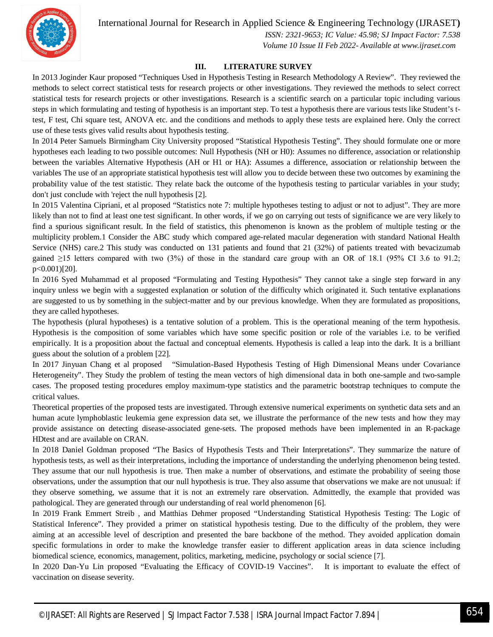

 *ISSN: 2321-9653; IC Value: 45.98; SJ Impact Factor: 7.538 Volume 10 Issue II Feb 2022- Available at www.ijraset.com*

#### **III. LITERATURE SURVEY**

In 2013 Joginder Kaur proposed "Techniques Used in Hypothesis Testing in Research Methodology A Review". They reviewed the methods to select correct statistical tests for research projects or other investigations. They reviewed the methods to select correct statistical tests for research projects or other investigations. Research is a scientific search on a particular topic including various steps in which formulating and testing of hypothesis is an important step. To test a hypothesis there are various tests like Student's ttest, F test, Chi square test, ANOVA etc. and the conditions and methods to apply these tests are explained here. Only the correct use of these tests gives valid results about hypothesis testing.

In 2014 Peter Samuels Birmingham City University proposed "Statistical Hypothesis Testing". They should formulate one or more hypotheses each leading to two possible outcomes: Null Hypothesis (NH or H0): Assumes no difference, association or relationship between the variables Alternative Hypothesis (AH or H1 or HA): Assumes a difference, association or relationship between the variables The use of an appropriate statistical hypothesis test will allow you to decide between these two outcomes by examining the probability value of the test statistic. They relate back the outcome of the hypothesis testing to particular variables in your study; don't just conclude with 'reject the null hypothesis [2].

In 2015 Valentina Cipriani, et al proposed "Statistics note 7: multiple hypotheses testing to adjust or not to adjust". They are more likely than not to find at least one test significant. In other words, if we go on carrying out tests of significance we are very likely to find a spurious significant result. In the field of statistics, this phenomenon is known as the problem of multiple testing or the multiplicity problem.1 Consider the ABC study which compared age-related macular degeneration with standard National Health Service (NHS) care.2 This study was conducted on 131 patients and found that 21 (32%) of patients treated with bevacizumab gained  $\geq$ 15 letters compared with two (3%) of those in the standard care group with an OR of 18.1 (95% CI 3.6 to 91.2; p<0.001)[20].

In 2016 Syed Muhammad et al proposed "Formulating and Testing Hypothesis" They cannot take a single step forward in any inquiry unless we begin with a suggested explanation or solution of the difficulty which originated it. Such tentative explanations are suggested to us by something in the subject-matter and by our previous knowledge. When they are formulated as propositions, they are called hypotheses.

The hypothesis (plural hypotheses) is a tentative solution of a problem. This is the operational meaning of the term hypothesis. Hypothesis is the composition of some variables which have some specific position or role of the variables i.e. to be verified empirically. It is a proposition about the factual and conceptual elements. Hypothesis is called a leap into the dark. It is a brilliant guess about the solution of a problem [22].

In 2017 Jinyuan Chang et al proposed "Simulation-Based Hypothesis Testing of High Dimensional Means under Covariance Heterogeneity". They Study the problem of testing the mean vectors of high dimensional data in both one-sample and two-sample cases. The proposed testing procedures employ maximum-type statistics and the parametric bootstrap techniques to compute the critical values.

Theoretical properties of the proposed tests are investigated. Through extensive numerical experiments on synthetic data sets and an human acute lymphoblastic leukemia gene expression data set, we illustrate the performance of the new tests and how they may provide assistance on detecting disease-associated gene-sets. The proposed methods have been implemented in an R-package HDtest and are available on CRAN.

In 2018 Daniel Goldman proposed "The Basics of Hypothesis Tests and Their Interpretations". They summarize the nature of hypothesis tests, as well as their interpretations, including the importance of understanding the underlying phenomenon being tested. They assume that our null hypothesis is true. Then make a number of observations, and estimate the probability of seeing those observations, under the assumption that our null hypothesis is true. They also assume that observations we make are not unusual: if they observe something, we assume that it is not an extremely rare observation. Admittedly, the example that provided was pathological. They are generated through our understanding of real world phenomenon [6].

In 2019 Frank Emmert Streib , and Matthias Dehmer proposed "Understanding Statistical Hypothesis Testing: The Logic of Statistical Inference". They provided a primer on statistical hypothesis testing. Due to the difficulty of the problem, they were aiming at an accessible level of description and presented the bare backbone of the method. They avoided application domain specific formulations in order to make the knowledge transfer easier to different application areas in data science including biomedical science, economics, management, politics, marketing, medicine, psychology or social science [7].

In 2020 Dan-Yu Lin proposed "Evaluating the Efficacy of COVID-19 Vaccines". It is important to evaluate the effect of vaccination on disease severity.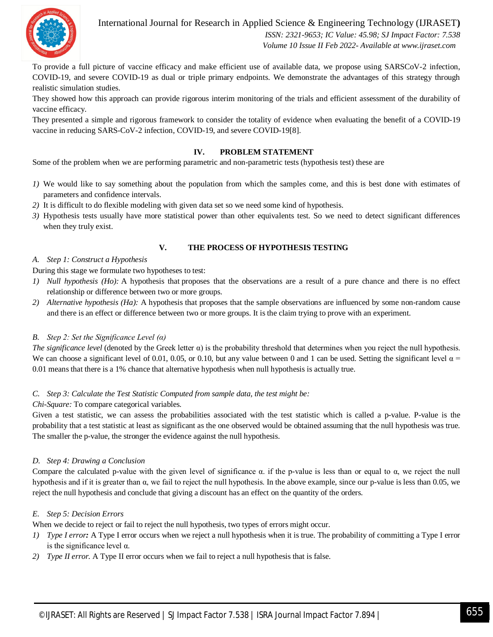

 *ISSN: 2321-9653; IC Value: 45.98; SJ Impact Factor: 7.538 Volume 10 Issue II Feb 2022- Available at www.ijraset.com*

To provide a full picture of vaccine efficacy and make efficient use of available data, we propose using SARSCoV-2 infection, COVID-19, and severe COVID-19 as dual or triple primary endpoints. We demonstrate the advantages of this strategy through realistic simulation studies.

They showed how this approach can provide rigorous interim monitoring of the trials and efficient assessment of the durability of vaccine efficacy.

They presented a simple and rigorous framework to consider the totality of evidence when evaluating the benefit of a COVID-19 vaccine in reducing SARS-CoV-2 infection, COVID-19, and severe COVID-19[8].

#### **IV. PROBLEM STATEMENT**

Some of the problem when we are performing parametric and non-parametric tests (hypothesis test) these are

- *1)* We would like to say something about the population from which the samples come, and this is best done with estimates of parameters and confidence intervals.
- *2)* It is difficult to do flexible modeling with given data set so we need some kind of hypothesis.
- *3)* Hypothesis tests usually have more statistical power than other equivalents test. So we need to detect significant differences when they truly exist.

#### **V. THE PROCESS OF HYPOTHESIS TESTING**

#### *A. Step 1: Construct a Hypothesis*

During this stage we formulate two hypotheses to test:

- *1) Null hypothesis (Ho):* A hypothesis that proposes that the observations are a result of a pure chance and there is no effect relationship or difference between two or more groups.
- *2) Alternative hypothesis (Ha):* A hypothesis that proposes that the sample observations are influenced by some non-random cause and there is an effect or difference between two or more groups. It is the claim trying to prove with an experiment.

#### *B. Step 2: Set the Significance Level (α)*

*The significance level* (denoted by the Greek letter  $\alpha$ ) is the probability threshold that determines when you reject the null hypothesis. We can choose a significant level of 0.01, 0.05, or 0.10, but any value between 0 and 1 can be used. Setting the significant level  $\alpha$  = 0.01 means that there is a 1% chance that alternative hypothesis when null hypothesis is actually true.

#### *C. Step 3: Calculate the Test Statistic Computed from sample data, the test might be:*

#### *Chi-Square:* To compare categorical variables.

Given a test statistic, we can assess the probabilities associated with the test statistic which is called a p-value. P-value is the probability that a test statistic at least as significant as the one observed would be obtained assuming that the null hypothesis was true. The smaller the p-value, the stronger the evidence against the null hypothesis.

#### *D. Step 4: Drawing a Conclusion*

Compare the calculated p-value with the given level of significance  $\alpha$ . if the p-value is less than or equal to  $\alpha$ , we reject the null hypothesis and if it is greater than α, we fail to reject the null hypothesis. In the above example, since our p-value is less than 0.05, we reject the null hypothesis and conclude that giving a discount has an effect on the quantity of the orders.

#### *E. Step 5: Decision Errors*

When we decide to reject or fail to reject the null hypothesis, two types of errors might occur.

- *1) Type I error:* A Type I error occurs when we reject a null hypothesis when it is true. The probability of committing a Type I error is the significance level α.
- *2) Type II error.* A Type II error occurs when we fail to reject a null hypothesis that is false.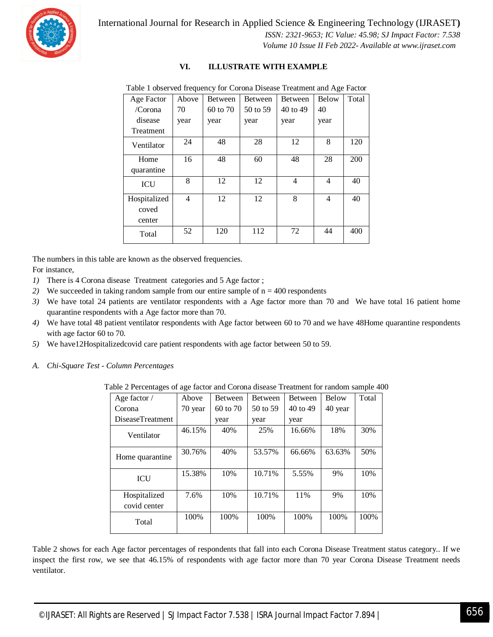

International Journal for Research in Applied Science & Engineering Technology (IJRASET**)**  *ISSN: 2321-9653; IC Value: 45.98; SJ Impact Factor: 7.538*

 *Volume 10 Issue II Feb 2022- Available at www.ijraset.com*

#### **VI. ILLUSTRATE WITH EXAMPLE**

| Age Factor         | Above | Between  | <b>Between</b> | Between        | Below          | Total |
|--------------------|-------|----------|----------------|----------------|----------------|-------|
| /Corona            | 70    | 60 to 70 | 50 to 59       | 40 to 49       | 40             |       |
| disease            | year  | year     | year           | year           | year           |       |
| <b>Treatment</b>   |       |          |                |                |                |       |
| Ventilator         | 24    | 48       | 28             | 12             | 8              | 120   |
| Home<br>quarantine | 16    | 48       | 60             | 48             | 28             | 200   |
| <b>ICU</b>         | 8     | 12       | 12             | $\overline{4}$ | $\overline{4}$ | 40    |
| Hospitalized       | 4     | 12       | 12             | 8              | $\overline{4}$ | 40    |
| coved              |       |          |                |                |                |       |
| center             |       |          |                |                |                |       |
| Total              | 52    | 120      | 112            | 72             | 44             | 400   |

Table 1 observed frequency for Corona Disease Treatment and Age Factor

The numbers in this table are known as the observed frequencies.

For instance,

- *1)* There is 4 Corona disease Treatment categories and 5 Age factor ;
- 2) We succeeded in taking random sample from our entire sample of  $n = 400$  respondents
- *3)* We have total 24 patients are ventilator respondents with a Age factor more than 70 and We have total 16 patient home quarantine respondents with a Age factor more than 70.
- *4)* We have total 48 patient ventilator respondents with Age factor between 60 to 70 and we have 48Home quarantine respondents with age factor 60 to 70.
- *5)* We have12Hospitalizedcovid care patient respondents with age factor between 50 to 59.
- *A. Chi-Square Test - Column Percentages*

Table 2 Percentages of age factor and Corona disease Treatment for random sample 400

| Age factor $\overline{\ }$   | Above   | <b>Between</b> | <b>Between</b> | <b>Between</b> | Below   | Total |
|------------------------------|---------|----------------|----------------|----------------|---------|-------|
| Corona                       | 70 year | 60 to 70       | 50 to 59       | 40 to 49       | 40 year |       |
| <b>DiseaseTreatment</b>      |         | year           | year           | year           |         |       |
| Ventilator                   | 46.15%  | 40%            | 25%            | 16.66%         | 18%     | 30%   |
| Home quarantine              | 30.76%  | 40%            | 53.57%         | 66.66%         | 63.63%  | 50%   |
| <b>ICU</b>                   | 15.38%  | 10%            | 10.71%         | 5.55%          | 9%      | 10%   |
| Hospitalized<br>covid center | 7.6%    | 10%            | 10.71%         | 11%            | 9%      | 10%   |
| Total                        | 100%    | 100%           | 100%           | 100%           | 100%    | 100%  |

Table 2 shows for each Age factor percentages of respondents that fall into each Corona Disease Treatment status category.. If we inspect the first row, we see that 46.15% of respondents with age factor more than 70 year Corona Disease Treatment needs ventilator.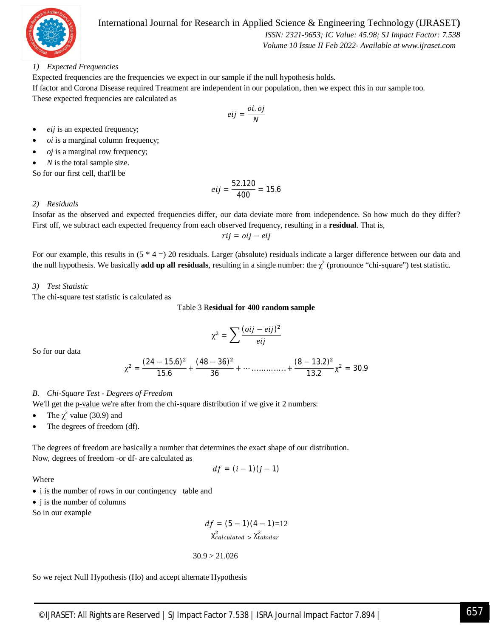

 *ISSN: 2321-9653; IC Value: 45.98; SJ Impact Factor: 7.538*

 *Volume 10 Issue II Feb 2022- Available at www.ijraset.com*

#### *1) Expected Frequencies*

Expected frequencies are the frequencies we expect in our sample if the null hypothesis holds*.* If factor and Corona Disease required Treatment are independent in our population, then we expect this in our sample too. These expected frequencies are calculated as

$$
eij = \frac{oi.oj}{N}
$$

- *eij* is an expected frequency;
- *oi* is a marginal column frequency;
- *oj* is a marginal row frequency;
- *N* is the total sample size.

So for our first cell, that'll be

$$
eij = \frac{52.120}{400} = 15.6
$$

#### *2) Residuals*

Insofar as the observed and expected frequencies differ, our data deviate more from independence. So how much do they differ? First off, we subtract each expected frequency from each observed frequency, resulting in a **residual**. That is,

݆݁݅ − ݆݅ = ݆݅ݎ

For our example, this results in  $(5 * 4 = 20$  residuals. Larger (absolute) residuals indicate a larger difference between our data and the null hypothesis. We basically **add up all residuals**, resulting in a single number: the  $\chi^2$  (pronounce "chi-square") test statistic.

#### *3) Test Statistic*

The chi-square test statistic is calculated as

#### Table 3 R**esidual for 400 random sample**

$$
\chi^2 = \sum \frac{(oij - eij)^2}{eij}
$$

So for our data

$$
\chi^2 = \frac{(24-15.6)^2}{15.6} + \frac{(48-36)^2}{36} + \cdots \ldots \ldots \ldots \ldots \ldots \left( \frac{(8-13.2)^2}{13.2} \chi^2 = 30.9
$$

#### *B. Chi-Square Test - Degrees of Freedom*

We'll get the p-value we're after from the chi-square distribution if we give it 2 numbers:

- The  $\chi^2$  value (30.9) and
- The degrees of freedom (df).

The degrees of freedom are basically a number that determines the exact shape of our distribution. Now, degrees of freedom -or df- are calculated as

$$
df = (i-1)(j-1)
$$

Where

- i is the number of rows in our contingency table and
- *j* is the number of columns

So in our example

$$
df = (5-1)(4-1)=12
$$
  

$$
\chi^2_{calculated} > \chi^2_{tabular}
$$

30.9 > 21.026

So we reject Null Hypothesis (Ho) and accept alternate Hypothesis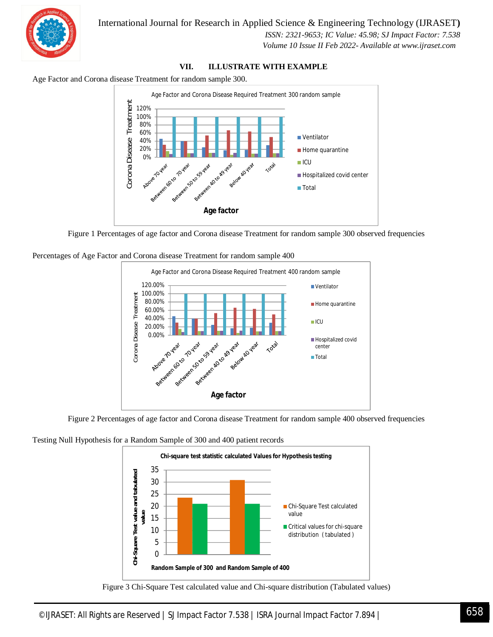![](_page_6_Picture_0.jpeg)

 *ISSN: 2321-9653; IC Value: 45.98; SJ Impact Factor: 7.538 Volume 10 Issue II Feb 2022- Available at www.ijraset.com*

#### **VII. ILLUSTRATE WITH EXAMPLE**

Age Factor and Corona disease Treatment for random sample 300.

![](_page_6_Figure_5.jpeg)

Figure 1 Percentages of age factor and Corona disease Treatment for random sample 300 observed frequencies

Percentages of Age Factor and Corona disease Treatment for random sample 400

![](_page_6_Figure_8.jpeg)

Figure 2 Percentages of age factor and Corona disease Treatment for random sample 400 observed frequencies

Testing Null Hypothesis for a Random Sample of 300 and 400 patient records

![](_page_6_Figure_11.jpeg)

Figure 3 Chi-Square Test calculated value and Chi-square distribution (Tabulated values)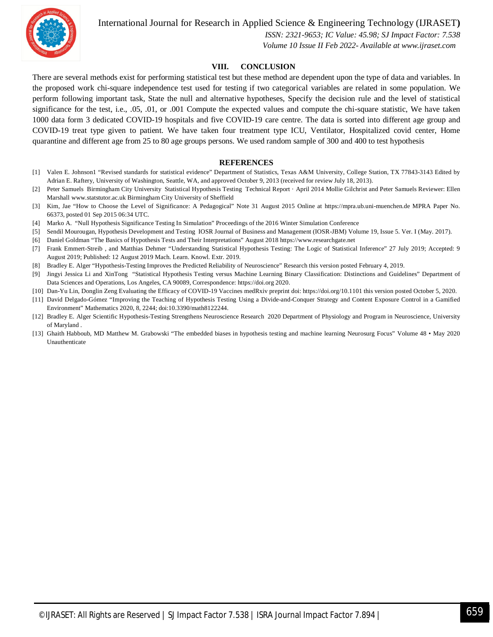![](_page_7_Picture_1.jpeg)

 *ISSN: 2321-9653; IC Value: 45.98; SJ Impact Factor: 7.538 Volume 10 Issue II Feb 2022- Available at www.ijraset.com*

#### **VIII. CONCLUSION**

There are several methods exist for performing statistical test but these method are dependent upon the type of data and variables. In the proposed work chi-square independence test used for testing if two categorical variables are related in some population. We perform following important task, State the null and alternative hypotheses, Specify the decision rule and the level of statistical significance for the test, i.e., .05, .01, or .001 Compute the expected values and compute the chi-square statistic, We have taken 1000 data form 3 dedicated COVID-19 hospitals and five COVID-19 care centre. The data is sorted into different age group and COVID-19 treat type given to patient. We have taken four treatment type ICU, Ventilator, Hospitalized covid center, Home quarantine and different age from 25 to 80 age groups persons. We used random sample of 300 and 400 to test hypothesis

#### **REFERENCES**

- [1] Valen E. Johnson1 "Revised standards for statistical evidence" Department of Statistics, Texas A&M University, College Station, TX 77843-3143 Edited by Adrian E. Raftery, University of Washington, Seattle, WA, and approved October 9, 2013 (received for review July 18, 2013).
- [2] Peter Samuels Birmingham City University Statistical Hypothesis Testing Technical Report · April 2014 Mollie Gilchrist and Peter Samuels Reviewer: Ellen Marshall www.statstutor.ac.uk Birmingham City University of Sheffield
- [3] Kim, Jae "How to Choose the Level of Significance: A Pedagogical" Note 31 August 2015 Online at https://mpra.ub.uni-muenchen.de MPRA Paper No. 66373, posted 01 Sep 2015 06:34 UTC.
- [4] Marko A. "Null Hypothesis Significance Testing In Simulation" Proceedings of the 2016 Winter Simulation Conference
- [5] Sendil Mourougan, Hypothesis Development and Testing IOSR Journal of Business and Management (IOSR-JBM) Volume 19, Issue 5. Ver. I (May. 2017).
- [6] Daniel Goldman "The Basics of Hypothesis Tests and Their Interpretations" August 2018 https://www.researchgate.net
- [7] Frank Emmert-Streib , and Matthias Dehmer "Understanding Statistical Hypothesis Testing: The Logic of Statistical Inference" 27 July 2019; Accepted: 9 August 2019; Published: 12 August 2019 Mach. Learn. Knowl. Extr. 2019.
- [8] Bradley E. Alger "Hypothesis-Testing Improves the Predicted Reliability of Neuroscience" Research this version posted February 4, 2019.
- [9] Jingyi Jessica Li and XinTong "Statistical Hypothesis Testing versus Machine Learning Binary Classification: Distinctions and Guidelines" Department of Data Sciences and Operations, Los Angeles, CA 90089, Correspondence: https://doi.org 2020.
- [10] Dan-Yu Lin, Donglin Zeng Evaluating the Efficacy of COVID-19 Vaccines medRxiv preprint doi: https://doi.org/10.1101 this version posted October 5, 2020.
- [11] David Delgado-Gómez "Improving the Teaching of Hypothesis Testing Using a Divide-and-Conquer Strategy and Content Exposure Control in a Gamified Environment" Mathematics 2020, 8, 2244; doi:10.3390/math8122244.
- [12] Bradley E. Alger Scientific Hypothesis-Testing Strengthens Neuroscience Research 2020 Department of Physiology and Program in Neuroscience, University of Maryland .
- [13] Ghaith Habboub, MD Matthew M. Grabowski "The embedded biases in hypothesis testing and machine learning Neurosurg Focus" Volume 48 May 2020 Unauthenticate